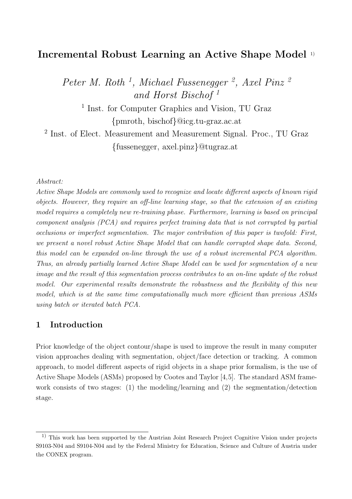# Incremental Robust Learning an Active Shape Model 1)

Peter M. Roth<sup>1</sup>, Michael Fussenegger<sup>2</sup>, Axel Pinz<sup>2</sup> and Horst Bischof <sup>1</sup>

<sup>1</sup> Inst. for Computer Graphics and Vision, TU Graz {pmroth, bischof}@icg.tu-graz.ac.at

<sup>2</sup> Inst. of Elect. Measurement and Measurement Signal. Proc., TU Graz {fussenegger, axel.pinz}@tugraz.at

#### Abstract:

Active Shape Models are commonly used to recognize and locate different aspects of known rigid objects. However, they require an off-line learning stage, so that the extension of an existing model requires a completely new re-training phase. Furthermore, learning is based on principal component analysis (PCA) and requires perfect training data that is not corrupted by partial occlusions or imperfect segmentation. The major contribution of this paper is twofold: First, we present a novel robust Active Shape Model that can handle corrupted shape data. Second, this model can be expanded on-line through the use of a robust incremental PCA algorithm. Thus, an already partially learned Active Shape Model can be used for segmentation of a new image and the result of this segmentation process contributes to an on-line update of the robust model. Our experimental results demonstrate the robustness and the flexibility of this new model, which is at the same time computationally much more efficient than previous ASMs using batch or iterated batch PCA.

### 1 Introduction

Prior knowledge of the object contour/shape is used to improve the result in many computer vision approaches dealing with segmentation, object/face detection or tracking. A common approach, to model different aspects of rigid objects in a shape prior formalism, is the use of Active Shape Models (ASMs) proposed by Cootes and Taylor [4,5]. The standard ASM framework consists of two stages: (1) the modeling/learning and (2) the segmentation/detection stage.

<sup>1)</sup> This work has been supported by the Austrian Joint Research Project Cognitive Vision under projects S9103-N04 and S9104-N04 and by the Federal Ministry for Education, Science and Culture of Austria under the CONEX program.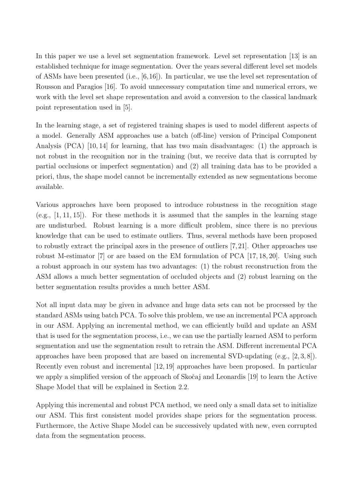In this paper we use a level set segmentation framework. Level set representation [13] is an established technique for image segmentation. Over the years several different level set models of ASMs have been presented (i.e., [6,16]). In particular, we use the level set representation of Rousson and Paragios [16]. To avoid unnecessary computation time and numerical errors, we work with the level set shape representation and avoid a conversion to the classical landmark point representation used in [5].

In the learning stage, a set of registered training shapes is used to model different aspects of a model. Generally ASM approaches use a batch (off-line) version of Principal Component Analysis (PCA) [10, 14] for learning, that has two main disadvantages: (1) the approach is not robust in the recognition nor in the training (but, we receive data that is corrupted by partial occlusions or imperfect segmentation) and (2) all training data has to be provided a priori, thus, the shape model cannot be incrementally extended as new segmentations become available.

Various approaches have been proposed to introduce robustness in the recognition stage  $(e.g., [1, 11, 15])$ . For these methods it is assumed that the samples in the learning stage are undisturbed. Robust learning is a more difficult problem, since there is no previous knowledge that can be used to estimate outliers. Thus, several methods have been proposed to robustly extract the principal axes in the presence of outliers [7,21]. Other approaches use robust M-estimator [7] or are based on the EM formulation of PCA [17, 18, 20]. Using such a robust approach in our system has two advantages: (1) the robust reconstruction from the ASM allows a much better segmentation of occluded objects and (2) robust learning on the better segmentation results provides a much better ASM.

Not all input data may be given in advance and huge data sets can not be processed by the standard ASMs using batch PCA. To solve this problem, we use an incremental PCA approach in our ASM. Applying an incremental method, we can efficiently build and update an ASM that is used for the segmentation process, i.e., we can use the partially learned ASM to perform segmentation and use the segmentation result to retrain the ASM. Different incremental PCA approaches have been proposed that are based on incremental SVD-updating (e.g., [2, 3, 8]). Recently even robust and incremental [12, 19] approaches have been proposed. In particular we apply a simplified version of the approach of Skočaj and Leonardis [19] to learn the Active Shape Model that will be explained in Section 2.2.

Applying this incremental and robust PCA method, we need only a small data set to initialize our ASM. This first consistent model provides shape priors for the segmentation process. Furthermore, the Active Shape Model can be successively updated with new, even corrupted data from the segmentation process.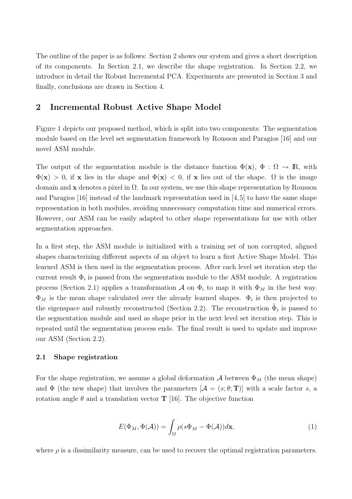The outline of the paper is as follows: Section 2 shows our system and gives a short description of its components. In Section 2.1, we describe the shape registration. In Section 2.2, we introduce in detail the Robust Incremental PCA. Experiments are presented in Section 3 and finally, conclusions are drawn in Section 4.

### 2 Incremental Robust Active Shape Model

Figure 1 depicts our proposed method, which is split into two components: The segmentation module based on the level set segmentation framework by Rousson and Paragios [16] and our novel ASM module.

The output of the segmentation module is the distance function  $\Phi(\mathbf{x})$ ,  $\Phi : \Omega \to \mathbb{R}$ , with  $\Phi(\mathbf{x}) > 0$ , if x lies in the shape and  $\Phi(\mathbf{x}) < 0$ , if x lies out of the shape.  $\Omega$  is the image domain and x denotes a pixel in  $\Omega$ . In our system, we use this shape representation by Rousson and Paragios [16] instead of the landmark representation used in [4,5] to have the same shape representation in both modules, avoiding unnecessary computation time and numerical errors. However, our ASM can be easily adapted to other shape representations for use with other segmentation approaches.

In a first step, the ASM module is initialized with a training set of non corrupted, aligned shapes characterizing different aspects of an object to learn a first Active Shape Model. This learned ASM is then used in the segmentation process. After each level set iteration step the current result  $\Phi_i$  is passed from the segmentation module to the ASM module. A registration process (Section 2.1) applies a transformation  $\mathcal A$  on  $\Phi_i$  to map it with  $\Phi_M$  in the best way.  $\Phi_M$  is the mean shape calculated over the already learned shapes.  $\Phi_i$  is then projected to the eigenspace and robustly reconstructed (Section 2.2). The reconstruction  $\tilde{\Phi}_i$  is passed to the segmentation module and used as shape prior in the next level set iteration step. This is repeated until the segmentation process ends. The final result is used to update and improve our ASM (Section 2.2).

#### 2.1 Shape registration

For the shape registration, we assume a global deformation  $A$  between  $\Phi_M$  (the mean shape) and  $\Phi$  (the new shape) that involves the parameters  $[\mathcal{A} = (s; \theta; \mathbf{T})]$  with a scale factor s, a rotation angle  $\theta$  and a translation vector **T** [16]. The objective function

$$
E(\Phi_M, \Phi(\mathcal{A})) = \int_{\Omega} \rho(s\Phi_M - \Phi(\mathcal{A}))d\mathbf{x},\tag{1}
$$

where  $\rho$  is a dissimilarity measure, can be used to recover the optimal registration parameters.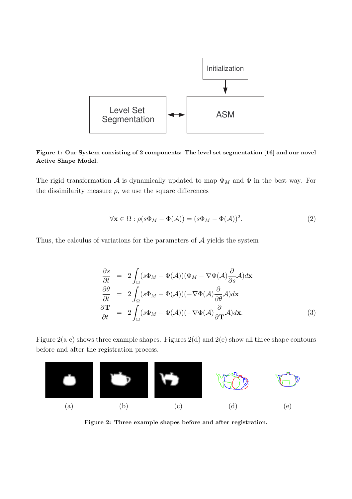

Figure 1: Our System consisting of 2 components: The level set segmentation [16] and our novel Active Shape Model.

The rigid transformation A is dynamically updated to map  $\Phi_M$  and  $\Phi$  in the best way. For the dissimilarity measure  $\rho$ , we use the square differences

$$
\forall \mathbf{x} \in \Omega : \rho(s\Phi_M - \Phi(\mathcal{A})) = (s\Phi_M - \Phi(\mathcal{A}))^2.
$$
 (2)

Thus, the calculus of variations for the parameters of  $A$  yields the system

$$
\frac{\partial s}{\partial t} = 2 \int_{\Omega} (s\Phi_M - \Phi(\mathcal{A})) (\Phi_M - \nabla \Phi(\mathcal{A}) \frac{\partial}{\partial s} \mathcal{A}) d\mathbf{x} \n\frac{\partial \theta}{\partial t} = 2 \int_{\Omega} (s\Phi_M - \Phi(\mathcal{A})) (-\nabla \Phi(\mathcal{A}) \frac{\partial}{\partial \theta} \mathcal{A}) d\mathbf{x} \n\frac{\partial \mathbf{T}}{\partial t} = 2 \int_{\Omega} (s\Phi_M - \Phi(\mathcal{A})) (-\nabla \Phi(\mathcal{A}) \frac{\partial}{\partial \mathbf{T}} \mathcal{A}) d\mathbf{x}.
$$
\n(3)

Figure  $2(a-c)$  shows three example shapes. Figures  $2(d)$  and  $2(e)$  show all three shape contours before and after the registration process.



Figure 2: Three example shapes before and after registration.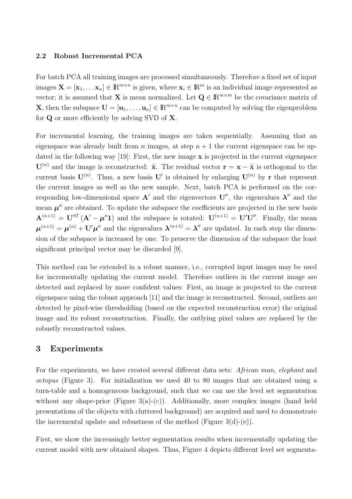#### 2.2 Robust Incremental PCA

For batch PCA all training images are processed simultaneously. Therefore a fixed set of input images  $\mathbf{X} = [\mathbf{x}_1, \dots \mathbf{x}_n] \in \mathbb{R}^{m \times n}$  is given, where  $\mathbf{x}_i \in \mathbb{R}^m$  is an individual image represented as vector; it is assumed that **X** is mean normalized. Let  $\mathbf{Q} \in \mathbb{R}^{m \times m}$  be the covariance matrix of **X**, then the subspace  $\mathbf{U} = [\mathbf{u}_1, \dots, \mathbf{u}_n] \in \mathbb{R}^{m \times n}$  can be computed by solving the eigenproblem for Q or more efficiently by solving SVD of X.

For incremental learning, the training images are taken sequentially. Assuming that an eigenspace was already built from *n* images, at step  $n + 1$  the current eigenspace can be updated in the following way [19]: First, the new image  $x$  is projected in the current eigenspace  $\mathbf{U}^{(n)}$  and the image is reconstructed:  $\tilde{\mathbf{x}}$ . The residual vector  $\mathbf{r} = \mathbf{x} - \tilde{\mathbf{x}}$  is orthogonal to the current basis  $\mathbf{U}^{(n)}$ . Thus, a new basis  $\mathbf{U}'$  is obtained by enlarging  $\mathbf{U}^{(n)}$  by r that represent the current images as well as the new sample. Next, batch PCA is performed on the corresponding low-dimensional space  $A'$  and the eigenvectors  $U''$ , the eigenvalues  $\lambda''$  and the mean  $\mu''$  are obtained. To update the subspace the coefficients are projected in the new basis  $\mathbf{A}^{(n+1)} = \mathbf{U}''^T (\mathbf{A}' - \boldsymbol{\mu}'' \mathbf{1})$  and the subspace is rotated:  $\mathbf{U}^{(n+1)} = \mathbf{U}' \mathbf{U}''$ . Finally, the mean  $\mu^{(n+1)} = \mu^{(n)} + U'\mu''$  and the eigenvalues  $\lambda^{(n+1)} = \lambda''$  are updated. In each step the dimension of the subspace is increased by one. To preserve the dimension of the subspace the least significant principal vector may be discarded [9].

This method can be extended in a robust manner, i.e., corrupted input images may be used for incrementally updating the current model. Therefore outliers in the current image are detected and replaced by more confident values: First, an image is projected to the current eigenspace using the robust approach [11] and the image is reconstructed. Second, outliers are detected by pixel-wise thresholding (based on the expected reconstruction error) the original image and its robust reconstruction. Finally, the outlying pixel values are replaced by the robustly reconstructed values.

### 3 Experiments

For the experiments, we have created several different data sets: African man, elephant and octopus (Figure 3). For initialization we used 40 to 80 images that are obtained using a turn-table and a homogeneous background, such that we can use the level set segmentation without any shape-prior (Figure 3(a)-(c)). Additionally, more complex images (hand held presentations of the objects with cluttered background) are acquired and used to demonstrate the incremental update and robustness of the method (Figure  $3(d)-(e)$ ).

First, we show the increasingly better segmentation results when incrementally updating the current model with new obtained shapes. Thus, Figure 4 depicts different level set segmenta-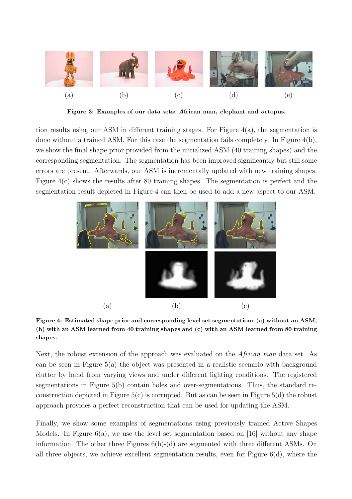

Figure 3: Examples of our data sets: African man, elephant and octopus.

tion results using our ASM in different training stages. For Figure  $4(a)$ , the segmentation is done without a trained ASM. For this case the segmentation fails completely. In Figure 4(b), we show the final shape prior provided from the initialized ASM (40 training shapes) and the corresponding segmentation. The segmentation has been improved significantly but still some errors are present. Afterwards, our ASM is incrementally updated with new training shapes. Figure 4(c) shows the results after 80 training shapes. The segmentation is perfect and the segmentation result depicted in Figure 4 can then be used to add a new aspect to our ASM.



Figure 4: Estimated shape prior and corresponding level set segmentation: (a) without an ASM, (b) with an ASM learned from 40 training shapes and (c) with an ASM learned from 80 training shapes.

Next, the robust extension of the approach was evaluated on the African man data set. As can be seen in Figure 5(a) the object was presented in a realistic scenario with background clutter by hand from varying views and under different lighting conditions. The registered segmentations in Figure 5(b) contain holes and over-segmentations. Thus, the standard reconstruction depicted in Figure  $5(c)$  is corrupted. But as can be seen in Figure  $5(d)$  the robust approach provides a perfect reconstruction that can be used for updating the ASM.

Finally, we show some examples of segmentations using previously trained Active Shapes Models. In Figure  $6(a)$ , we use the level set segmentation based on [16] without any shape information. The other three Figures 6(b)-(d) are segmented with three different ASMs. On all three objects, we achieve excellent segmentation results, even for Figure 6(d), where the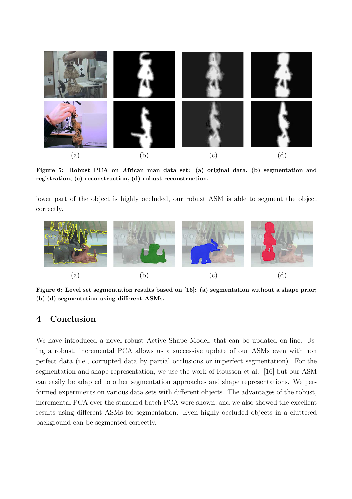

Figure 5: Robust PCA on African man data set: (a) original data, (b) segmentation and registration, (c) reconstruction, (d) robust reconstruction.

lower part of the object is highly occluded, our robust ASM is able to segment the object correctly.



Figure 6: Level set segmentation results based on [16]: (a) segmentation without a shape prior; (b)-(d) segmentation using different ASMs.

## 4 Conclusion

We have introduced a novel robust Active Shape Model, that can be updated on-line. Using a robust, incremental PCA allows us a successive update of our ASMs even with non perfect data (i.e., corrupted data by partial occlusions or imperfect segmentation). For the segmentation and shape representation, we use the work of Rousson et al. [16] but our ASM can easily be adapted to other segmentation approaches and shape representations. We performed experiments on various data sets with different objects. The advantages of the robust, incremental PCA over the standard batch PCA were shown, and we also showed the excellent results using different ASMs for segmentation. Even highly occluded objects in a cluttered background can be segmented correctly.